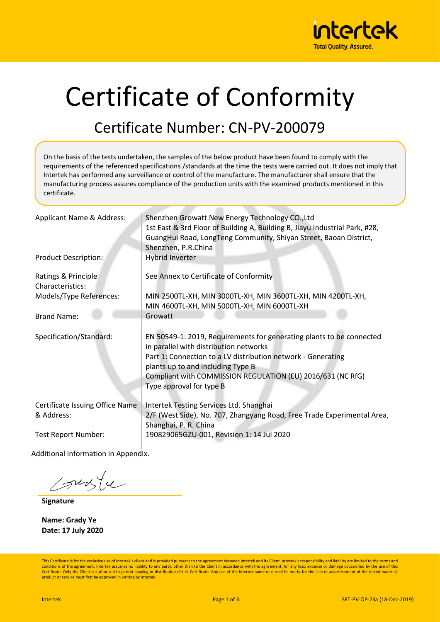

# Certificate of Conformity

### Certificate Number: CN-PV-200079

On the basis of the tests undertaken, the samples of the below product have been found to comply with the requirements of the referenced specifications /standards at the time the tests were carried out. It does not imply that Intertek has performed any surveillance or control of the manufacture. The manufacturer shall ensure that the manufacturing process assures compliance of the production units with the examined products mentioned in this certificate.

| Applicant Name & Address:                     | Shenzhen Growatt New Energy Technology CO., Ltd<br>1st East & 3rd Floor of Building A, Building B, Jiayu Industrial Park, #28,<br>GuangHui Road, LongTeng Community, Shiyan Street, Baoan District,<br>Shenzhen, P.R.China                                                                                     |  |  |
|-----------------------------------------------|----------------------------------------------------------------------------------------------------------------------------------------------------------------------------------------------------------------------------------------------------------------------------------------------------------------|--|--|
| <b>Product Description:</b>                   | <b>Hybrid Inverter</b>                                                                                                                                                                                                                                                                                         |  |  |
| Ratings & Principle<br>Characteristics:       | See Annex to Certificate of Conformity                                                                                                                                                                                                                                                                         |  |  |
| Models/Type References:                       | MIN 2500TL-XH, MIN 3000TL-XH, MIN 3600TL-XH, MIN 4200TL-XH,<br>MIN 4600TL-XH, MIN 5000TL-XH, MIN 6000TL-XH                                                                                                                                                                                                     |  |  |
| <b>Brand Name:</b>                            | Growatt                                                                                                                                                                                                                                                                                                        |  |  |
| Specification/Standard:                       | EN 50549-1: 2019, Requirements for generating plants to be connected<br>in parallel with distribution networks<br>Part 1: Connection to a LV distribution network - Generating<br>plants up to and including Type B<br>Compliant with COMMISSION REGULATION (EU) 2016/631 (NC RfG)<br>Type approval for type B |  |  |
| Certificate Issuing Office Name<br>& Address: | Intertek Testing Services Ltd. Shanghai<br>2/F (West Side), No. 707, Zhangyang Road, Free Trade Experimental Area,<br>Shanghai, P. R. China                                                                                                                                                                    |  |  |
| <b>Test Report Number:</b>                    | 190829065GZU-001, Revision 1: 14 Jul 2020                                                                                                                                                                                                                                                                      |  |  |

Additional information in Appendix.

sunte

**Signature**

**Name: Grady Ye Date: 17 July 2020**

This Certificate is for the exclusive use of Intertek's client and is provided pursuant to the agreement between Intertek and its Client. Intertek's responsibility and liability are limited to the terms and conditions of the agreement. Intertek assumes no liability to any party, other than to the Client in accordance with the agreement, for any loss, expense or damage occasioned by the use of this Certificate. Only the Client is authorized to permit copying or distribution of this Certificate. Any use of the Intertek name or one of its marks for the sale or advertisement of the tested material, product or service must first be approved in writing by Intertek.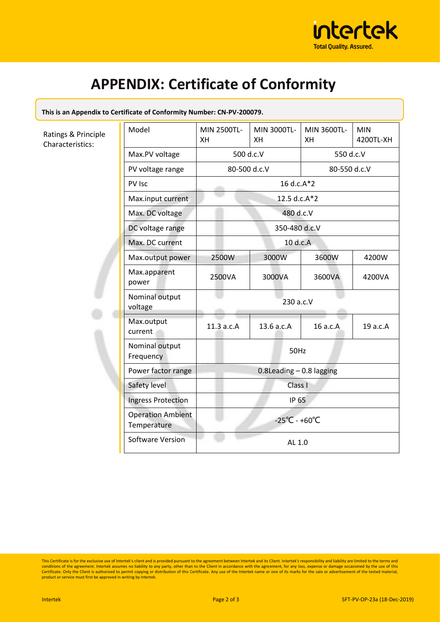

## **APPENDIX: Certificate of Conformity**

#### **This is an Appendix to Certificate of Conformity Number: CN-PV-200079.**

Ratings & Principle Characteristics:

|  | Model                                   | MIN 2500TL-<br>XH             | MIN 3000TL-<br><b>XH</b> | MIN 3600TL-<br>XH | <b>MIN</b><br>4200TL-XH |  |
|--|-----------------------------------------|-------------------------------|--------------------------|-------------------|-------------------------|--|
|  | Max.PV voltage                          | 500 d.c.V                     |                          | 550 d.c.V         |                         |  |
|  | PV voltage range                        | 80-500 d.c.V                  |                          | 80-550 d.c.V      |                         |  |
|  | PV Isc                                  | 16 d.c.A*2                    |                          |                   |                         |  |
|  | Max.input current                       | 12.5 d.c.A*2                  |                          |                   |                         |  |
|  | Max. DC voltage                         | 480 d.c.V                     |                          |                   |                         |  |
|  | DC voltage range                        | 350-480 d.c.V                 |                          |                   |                         |  |
|  | Max. DC current                         | 10 d.c.A                      |                          |                   |                         |  |
|  | Max.output power                        | 2500W                         | 3000W                    | 3600W             | 4200W                   |  |
|  | Max.apparent<br>power                   | 2500VA                        | 3000VA                   | 3600VA            | 4200VA                  |  |
|  | Nominal output<br>voltage               | 230 a.c.V                     |                          |                   |                         |  |
|  | Max.output<br>current                   | 11.3 a.c.A                    | 13.6 a.c.A               | 16 a.c.A          | 19 a.c.A                |  |
|  | Nominal output<br>Frequency             | 50Hz                          |                          |                   |                         |  |
|  | Power factor range                      | $0.8$ Leading $-0.8$ lagging  |                          |                   |                         |  |
|  | Safety level                            | Class I                       |                          |                   |                         |  |
|  | <b>Ingress Protection</b>               | <b>IP 65</b>                  |                          |                   |                         |  |
|  | <b>Operation Ambient</b><br>Temperature | $-25^{\circ}C - +60^{\circ}C$ |                          |                   |                         |  |
|  | <b>Software Version</b>                 | AL 1.0                        |                          |                   |                         |  |

This Certificate is for the exclusive use of Intertek's client and is provided pursuant to the agreement between Intertek and its Client. Intertek's responsibility and liability are limited to the terms and conditions of t